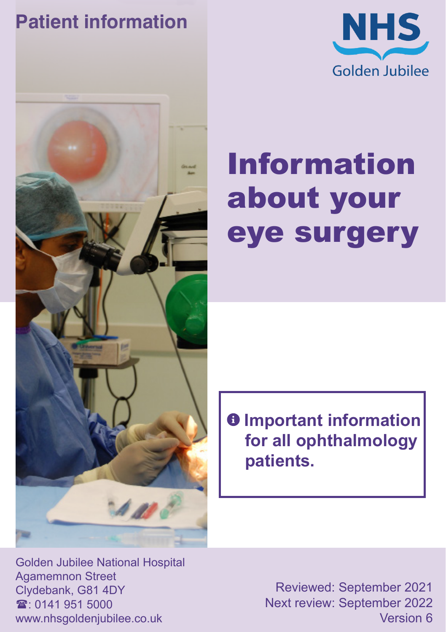#### **Patient information**





# Information about your eye surgery

 $\theta$  Important information **for all ophthalmology patients.**

Golden Jubilee National Hospital Agamemnon Street Clydebank, G81 4DY  $\mathbf{\hat{x}}$  0141 951 5000 www.nhsgoldenjubilee.co.uk

Reviewed: September 2021 Next review: September 2022 Version 6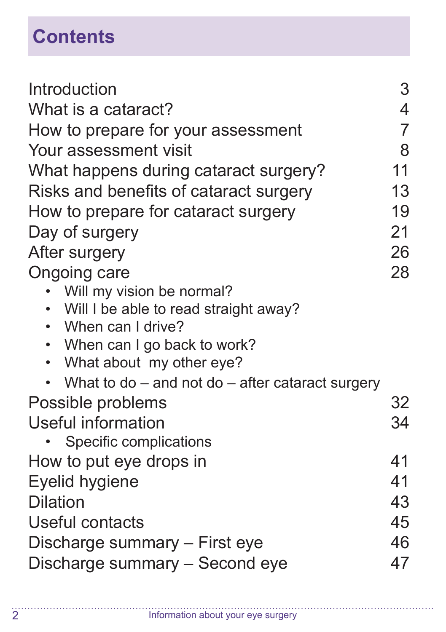# **Contents**

| Introduction                                         | 3              |
|------------------------------------------------------|----------------|
| What is a cataract?                                  | 4              |
| How to prepare for your assessment                   | $\overline{7}$ |
| Your assessment visit                                | 8              |
| What happens during cataract surgery?                | 11             |
| Risks and benefits of cataract surgery               | 13             |
| How to prepare for cataract surgery                  | 19             |
| Day of surgery                                       | 21             |
| After surgery                                        | 26             |
| <b>Ongoing care</b>                                  | 28             |
| Will my vision be normal?                            |                |
| Will I be able to read straight away?                |                |
| • When can I drive?                                  |                |
| When can I go back to work?<br>$\bullet$             |                |
| What about my other eye?<br>$\bullet$                |                |
| What to do $-$ and not do $-$ after cataract surgery |                |
| Possible problems                                    | 32             |
| Useful information                                   | 34             |
| Specific complications                               |                |
| How to put eye drops in                              | 41             |
| Eyelid hygiene                                       | 41             |
| <b>Dilation</b>                                      | 43             |
| Useful contacts                                      | 45             |
| Discharge summary – First eye                        | 46             |
| Discharge summary - Second eye                       | 47             |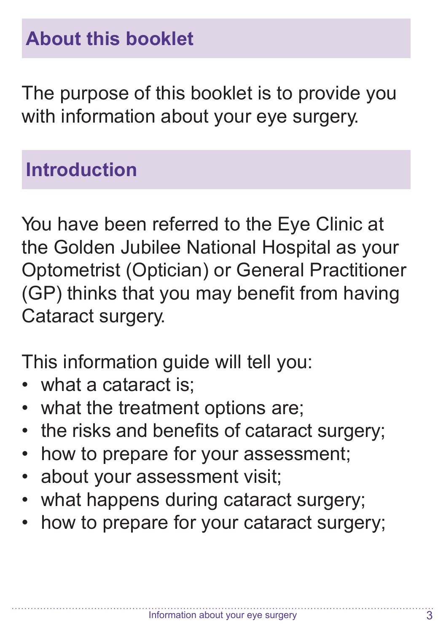The purpose of this booklet is to provide you with information about your eye surgery.

#### **Introduction**

You have been referred to the Eye Clinic at the Golden Jubilee National Hospital as your Optometrist (Optician) or General Practitioner (GP) thinks that you may benefit from having Cataract surgery.

This information guide will tell you:

- what a cataract is;
- what the treatment options are;
- the risks and benefits of cataract surgery;
- how to prepare for your assessment;
- about your assessment visit;
- what happens during cataract surgery;
- how to prepare for your cataract surgery;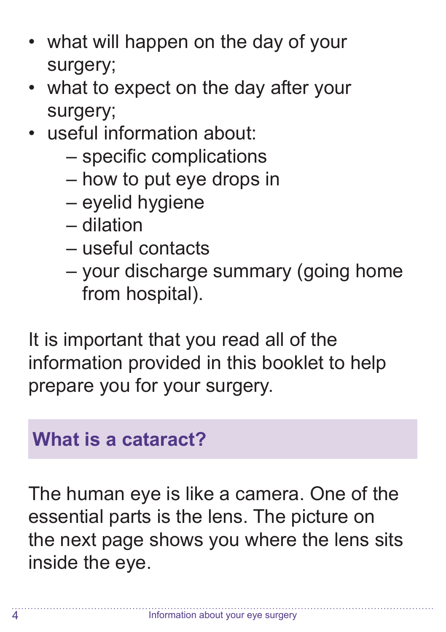- what will happen on the day of your surgery;
- what to expect on the day after your surgery;
- useful information about:
	- specific complications
	- how to put eye drops in
	- eyelid hygiene
	- dilation
	- useful contacts
	- your discharge summary (going home from hospital).

It is important that you read all of the information provided in this booklet to help prepare you for your surgery.

#### **What is a cataract?**

The human eye is like a camera. One of the essential parts is the lens. The picture on the next page shows you where the lens sits inside the eye.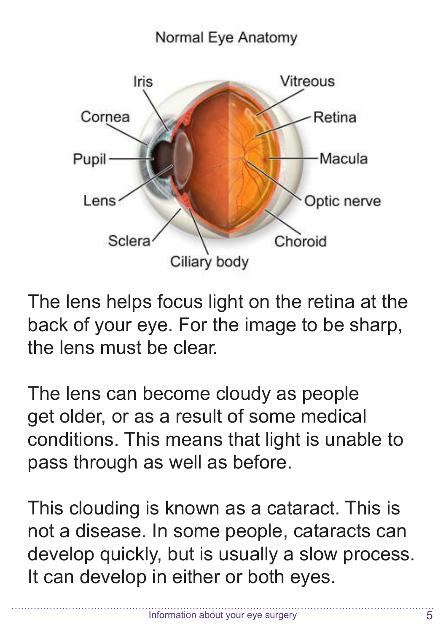#### Normal Eye Anatomy



The lens helps focus light on the retina at the back of your eye. For the image to be sharp, the lens must be clear.

The lens can become cloudy as people get older, or as a result of some medical conditions. This means that light is unable to pass through as well as before.

This clouding is known as a cataract. This is not a disease. In some people, cataracts can develop quickly, but is usually a slow process. It can develop in either or both eyes.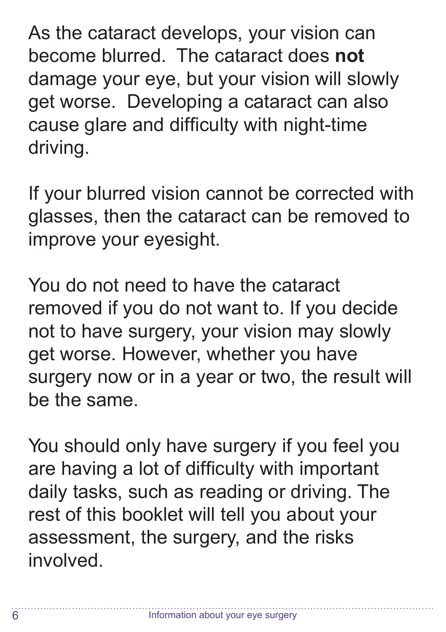As the cataract develops, your vision can become blurred. The cataract does **not**  damage your eye, but your vision will slowly get worse. Developing a cataract can also cause glare and difficulty with night-time driving.

If your blurred vision cannot be corrected with glasses, then the cataract can be removed to improve your eyesight.

You do not need to have the cataract removed if you do not want to. If you decide not to have surgery, your vision may slowly get worse. However, whether you have surgery now or in a year or two, the result will be the same.

You should only have surgery if you feel you are having a lot of difficulty with important daily tasks, such as reading or driving. The rest of this booklet will tell you about your assessment, the surgery, and the risks involved.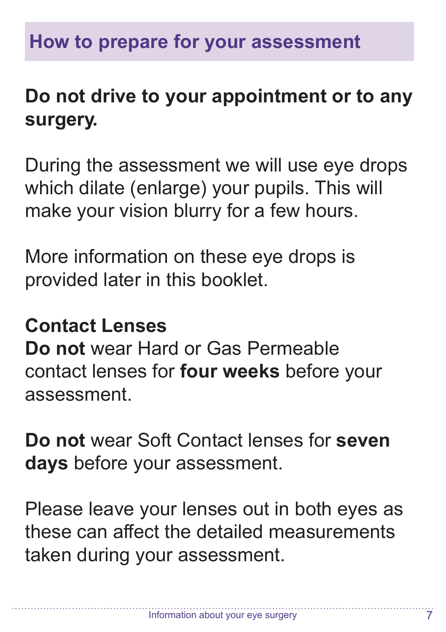#### **Do not drive to your appointment or to any surgery.**

During the assessment we will use eye drops which dilate (enlarge) your pupils. This will make your vision blurry for a few hours.

More information on these eye drops is provided later in this booklet.

#### **Contact Lenses**

**Do not** wear Hard or Gas Permeable contact lenses for **four weeks** before your assessment.

**Do not** wear Soft Contact lenses for **seven days** before your assessment.

Please leave your lenses out in both eyes as these can affect the detailed measurements taken during your assessment.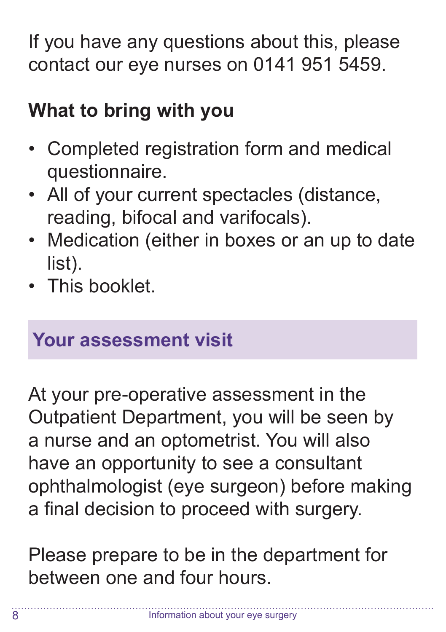If you have any questions about this, please contact our eye nurses on 0141 951 5459.

#### **What to bring with you**

- Completed registration form and medical questionnaire.
- All of your current spectacles (distance, reading, bifocal and varifocals).
- Medication (either in boxes or an up to date list).
- This booklet

#### **Your assessment visit**

At your pre-operative assessment in the Outpatient Department, you will be seen by a nurse and an optometrist. You will also have an opportunity to see a consultant ophthalmologist (eye surgeon) before making a final decision to proceed with surgery.

Please prepare to be in the department for between one and four hours.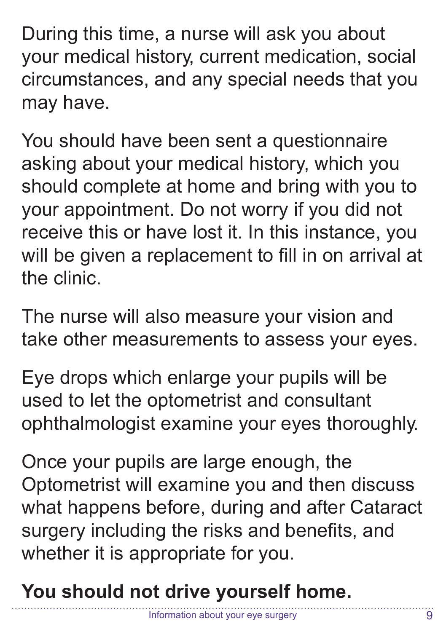During this time, a nurse will ask you about your medical history, current medication, social circumstances, and any special needs that you may have.

You should have been sent a questionnaire asking about your medical history, which you should complete at home and bring with you to your appointment. Do not worry if you did not receive this or have lost it. In this instance, you will be given a replacement to fill in on arrival at the clinic.

The nurse will also measure your vision and take other measurements to assess your eyes.

Eye drops which enlarge your pupils will be used to let the optometrist and consultant ophthalmologist examine your eyes thoroughly.

Once your pupils are large enough, the Optometrist will examine you and then discuss what happens before, during and after Cataract surgery including the risks and benefits, and whether it is appropriate for you.

**You should not drive yourself home.**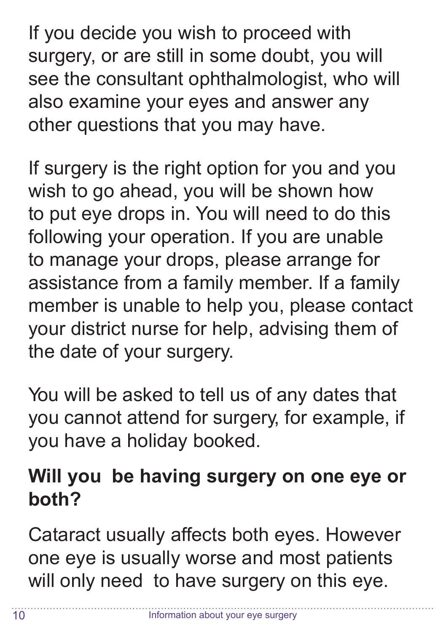If you decide you wish to proceed with surgery, or are still in some doubt, you will see the consultant ophthalmologist, who will also examine your eyes and answer any other questions that you may have.

If surgery is the right option for you and you wish to go ahead, you will be shown how to put eye drops in. You will need to do this following your operation. If you are unable to manage your drops, please arrange for assistance from a family member. If a family member is unable to help you, please contact your district nurse for help, advising them of the date of your surgery.

You will be asked to tell us of any dates that you cannot attend for surgery, for example, if you have a holiday booked.

#### **Will you be having surgery on one eye or both?**

Cataract usually affects both eyes. However one eye is usually worse and most patients will only need to have surgery on this eye.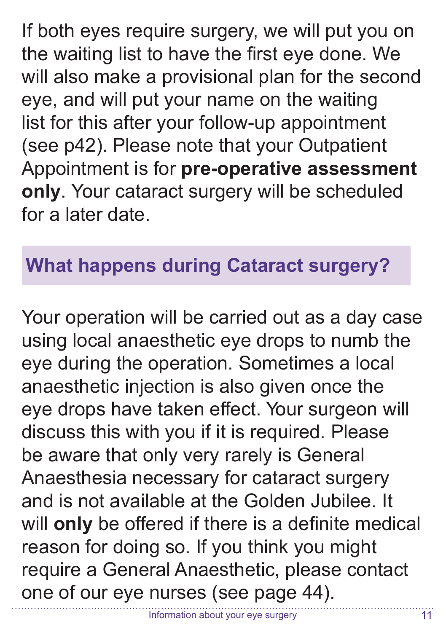If both eyes require surgery, we will put you on the waiting list to have the first eye done. We will also make a provisional plan for the second eye, and will put your name on the waiting list for this after your follow-up appointment (see p42). Please note that your Outpatient Appointment is for **pre-operative assessment only**. Your cataract surgery will be scheduled for a later date.

#### **What happens during Cataract surgery?**

Your operation will be carried out as a day case using local anaesthetic eye drops to numb the eye during the operation. Sometimes a local anaesthetic injection is also given once the eye drops have taken effect. Your surgeon will discuss this with you if it is required. Please be aware that only very rarely is General Anaesthesia necessary for cataract surgery and is not available at the Golden Jubilee. It will **only** be offered if there is a definite medical reason for doing so. If you think you might require a General Anaesthetic, please contact one of our eye nurses (see page 44).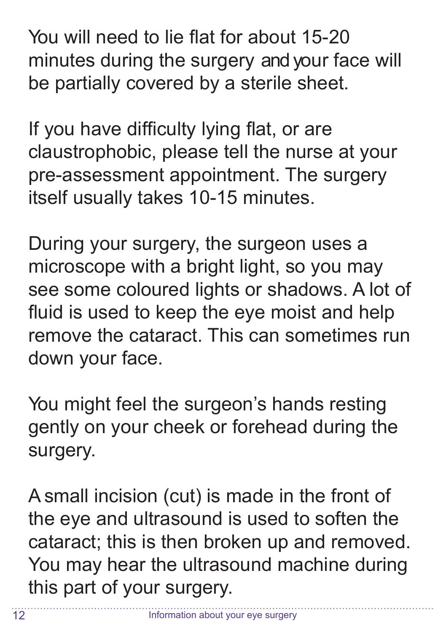You will need to lie flat for about 15-20 minutes during the surgery and your face will be partially covered by a sterile sheet.

If you have difficulty lying flat, or are claustrophobic, please tell the nurse at your pre-assessment appointment. The surgery itself usually takes 10-15 minutes.

During your surgery, the surgeon uses a microscope with a bright light, so you may see some coloured lights or shadows. A lot of fluid is used to keep the eye moist and help remove the cataract. This can sometimes run down your face.

You might feel the surgeon's hands resting gently on your cheek or forehead during the surgery.

A small incision (cut) is made in the front of the eye and ultrasound is used to soften the cataract; this is then broken up and removed. You may hear the ultrasound machine during this part of your surgery.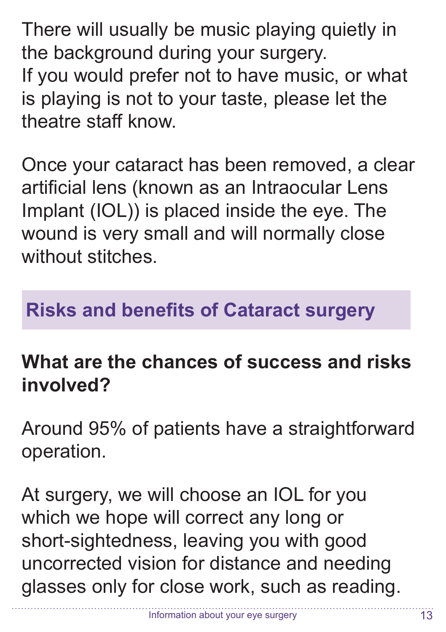There will usually be music playing quietly in the background during your surgery. If you would prefer not to have music, or what is playing is not to your taste, please let the theatre staff know.

Once your cataract has been removed, a clear artificial lens (known as an Intraocular Lens Implant (IOL)) is placed inside the eye. The wound is very small and will normally close without stitches

#### **Risks and benefits of Cataract surgery**

#### **What are the chances of success and risks involved?**

Around 95% of patients have a straightforward operation.

At surgery, we will choose an IOL for you which we hope will correct any long or short-sightedness, leaving you with good uncorrected vision for distance and needing glasses only for close work, such as reading.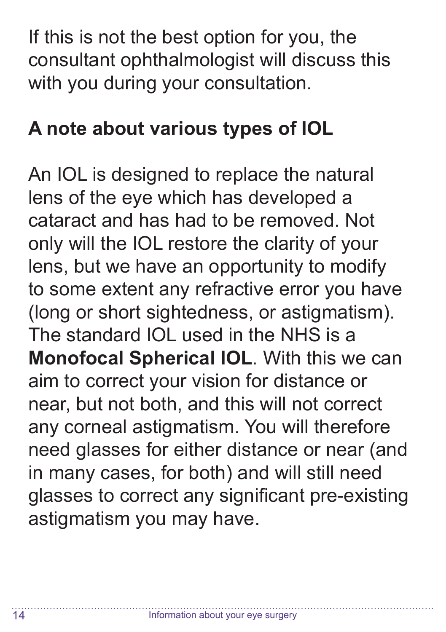If this is not the best option for you, the consultant ophthalmologist will discuss this with you during your consultation.

#### **A note about various types of IOL**

An IOL is designed to replace the natural lens of the eye which has developed a cataract and has had to be removed. Not only will the IOL restore the clarity of your lens, but we have an opportunity to modify to some extent any refractive error you have (long or short sightedness, or astigmatism). The standard IOL used in the NHS is a **Monofocal Spherical IOL**. With this we can aim to correct your vision for distance or near, but not both, and this will not correct any corneal astigmatism. You will therefore need glasses for either distance or near (and in many cases, for both) and will still need glasses to correct any significant pre-existing astigmatism you may have.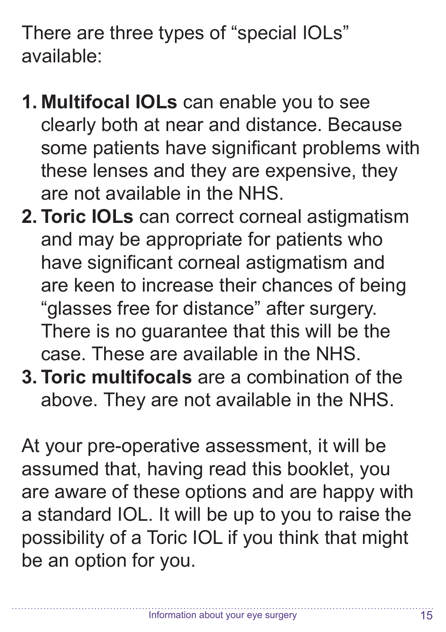There are three types of "special IOLs" available:

- **1. Multifocal IOLs** can enable you to see clearly both at near and distance. Because some patients have significant problems with these lenses and they are expensive, they are not available in the NHS.
- **2. Toric IOLs** can correct corneal astigmatism and may be appropriate for patients who have significant corneal astigmatism and are keen to increase their chances of being "glasses free for distance" after surgery. There is no guarantee that this will be the case. These are available in the NHS.
- **3. Toric multifocals** are a combination of the above. They are not available in the NHS.

At your pre-operative assessment, it will be assumed that, having read this booklet, you are aware of these options and are happy with a standard IOL. It will be up to you to raise the possibility of a Toric IOL if you think that might be an option for you.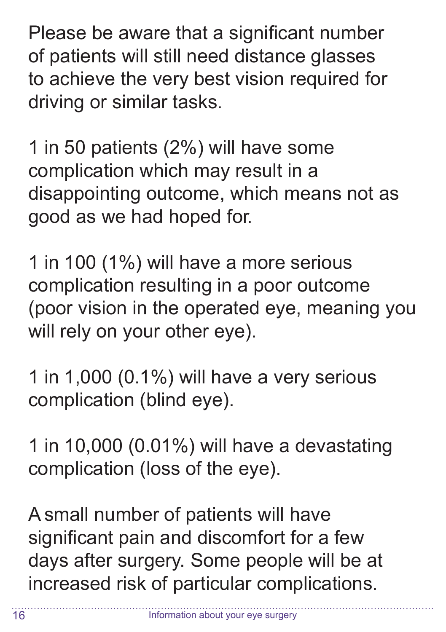Please be aware that a significant number of patients will still need distance glasses to achieve the very best vision required for driving or similar tasks.

1 in 50 patients (2%) will have some complication which may result in a disappointing outcome, which means not as good as we had hoped for.

1 in 100 (1%) will have a more serious complication resulting in a poor outcome (poor vision in the operated eye, meaning you will rely on your other eye).

1 in 1,000 (0.1%) will have a very serious complication (blind eye).

1 in 10,000 (0.01%) will have a devastating complication (loss of the eye).

A small number of patients will have significant pain and discomfort for a few days after surgery. Some people will be at increased risk of particular complications.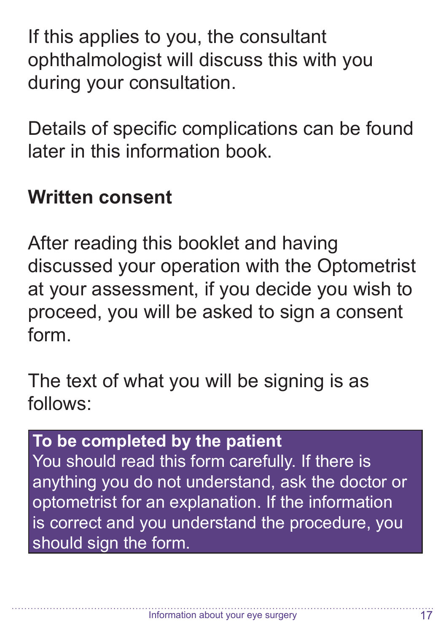If this applies to you, the consultant ophthalmologist will discuss this with you during your consultation.

Details of specific complications can be found later in this information book.

#### **Written consent**

After reading this booklet and having discussed your operation with the Optometrist at your assessment, if you decide you wish to proceed, you will be asked to sign a consent form.

The text of what you will be signing is as follows:

#### **To be completed by the patient**

You should read this form carefully. If there is anything you do not understand, ask the doctor or optometrist for an explanation. If the information is correct and you understand the procedure, you should sign the form.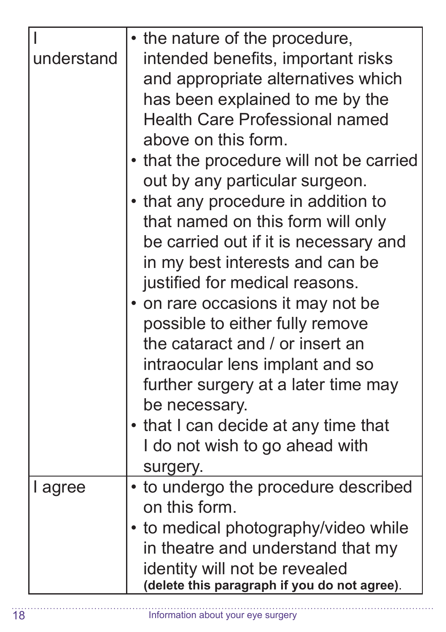| understand | • the nature of the procedure,<br>intended benefits, important risks<br>and appropriate alternatives which<br>has been explained to me by the<br><b>Health Care Professional named</b><br>above on this form.<br>• that the procedure will not be carried<br>out by any particular surgeon.<br>• that any procedure in addition to<br>that named on this form will only<br>be carried out if it is necessary and<br>in my best interests and can be<br>justified for medical reasons.<br>• on rare occasions it may not be<br>possible to either fully remove<br>the cataract and / or insert an<br>intraocular lens implant and so<br>further surgery at a later time may<br>be necessary.<br>• that I can decide at any time that<br>I do not wish to go ahead with<br>surgery. |
|------------|-----------------------------------------------------------------------------------------------------------------------------------------------------------------------------------------------------------------------------------------------------------------------------------------------------------------------------------------------------------------------------------------------------------------------------------------------------------------------------------------------------------------------------------------------------------------------------------------------------------------------------------------------------------------------------------------------------------------------------------------------------------------------------------|
| I agree    | • to undergo the procedure described<br>on this form.<br>to medical photography/video while<br>in theatre and understand that my<br>identity will not be revealed<br>(delete this paragraph if you do not agree).                                                                                                                                                                                                                                                                                                                                                                                                                                                                                                                                                                 |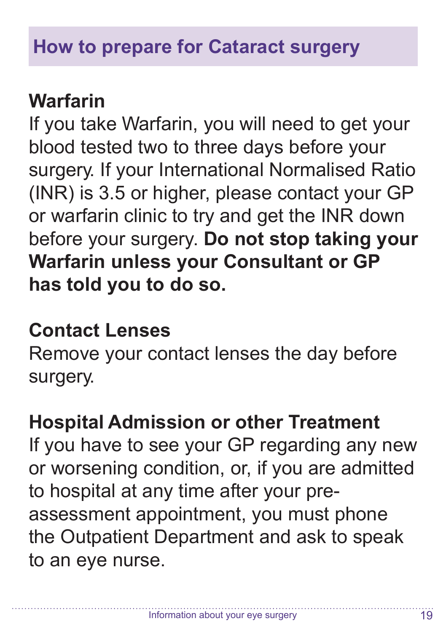#### **Warfarin**

If you take Warfarin, you will need to get your blood tested two to three days before your surgery. If your International Normalised Ratio (INR) is 3.5 or higher, please contact your GP or warfarin clinic to try and get the INR down before your surgery. **Do not stop taking your Warfarin unless your Consultant or GP has told you to do so.**

#### **Contact Lenses**

Remove your contact lenses the day before surgery.

#### **Hospital Admission or other Treatment**

If you have to see your GP regarding any new or worsening condition, or, if you are admitted to hospital at any time after your preassessment appointment, you must phone the Outpatient Department and ask to speak to an eye nurse.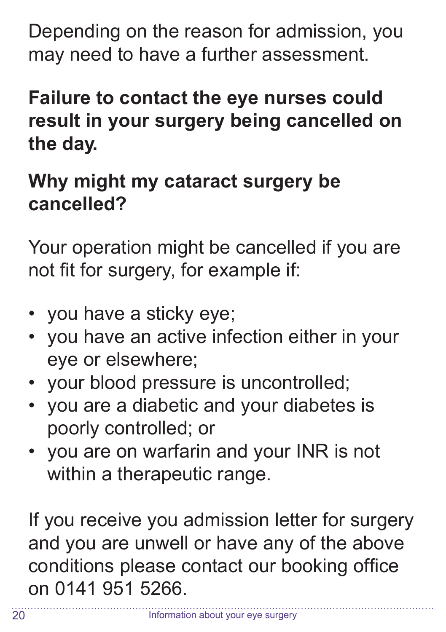Depending on the reason for admission, you may need to have a further assessment.

#### **Failure to contact the eye nurses could result in your surgery being cancelled on the day.**

#### **Why might my cataract surgery be cancelled?**

Your operation might be cancelled if you are not fit for surgery, for example if:

- you have a sticky eye;
- you have an active infection either in your eye or elsewhere;
- your blood pressure is uncontrolled;
- you are a diabetic and your diabetes is poorly controlled; or
- you are on warfarin and your INR is not within a therapeutic range.

If you receive you admission letter for surgery and you are unwell or have any of the above conditions please contact our booking office on 0141 951 5266.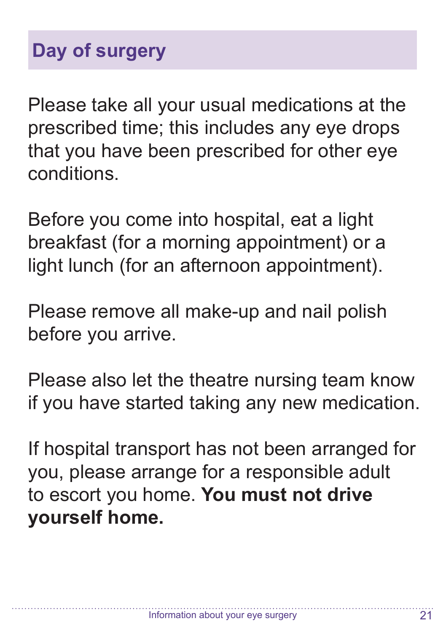#### **Day of surgery**

Please take all your usual medications at the prescribed time; this includes any eye drops that you have been prescribed for other eye conditions.

Before you come into hospital, eat a light breakfast (for a morning appointment) or a light lunch (for an afternoon appointment).

Please remove all make-up and nail polish before you arrive.

Please also let the theatre nursing team know if you have started taking any new medication.

If hospital transport has not been arranged for you, please arrange for a responsible adult to escort you home. **You must not drive yourself home.**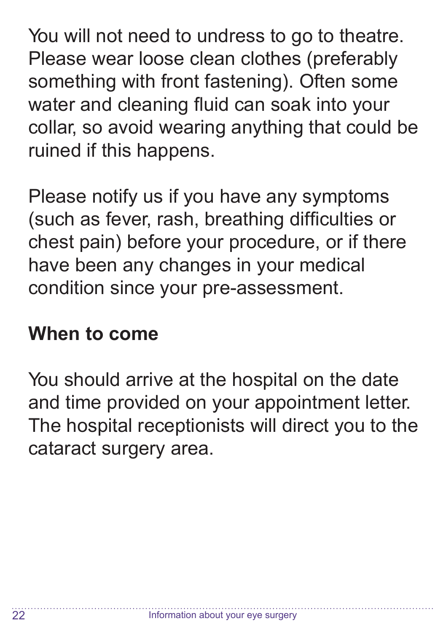You will not need to undress to go to theatre. Please wear loose clean clothes (preferably something with front fastening). Often some water and cleaning fluid can soak into your collar, so avoid wearing anything that could be ruined if this happens.

Please notify us if you have any symptoms (such as fever, rash, breathing difficulties or chest pain) before your procedure, or if there have been any changes in your medical condition since your pre-assessment.

#### **When to come**

You should arrive at the hospital on the date and time provided on your appointment letter. The hospital receptionists will direct you to the cataract surgery area.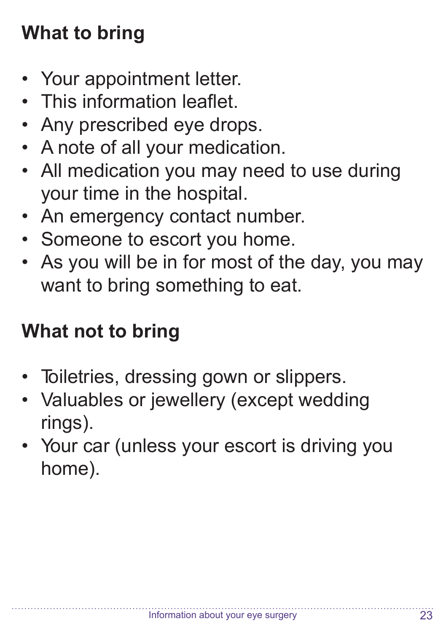## **What to bring**

- Your appointment letter.
- This information leaflet.
- Any prescribed eye drops.
- A note of all your medication.
- All medication you may need to use during your time in the hospital.
- An emergency contact number.
- Someone to escort you home.
- As you will be in for most of the day, you may want to bring something to eat.

#### **What not to bring**

- Toiletries, dressing gown or slippers.
- Valuables or jewellery (except wedding rings).
- Your car (unless your escort is driving you home).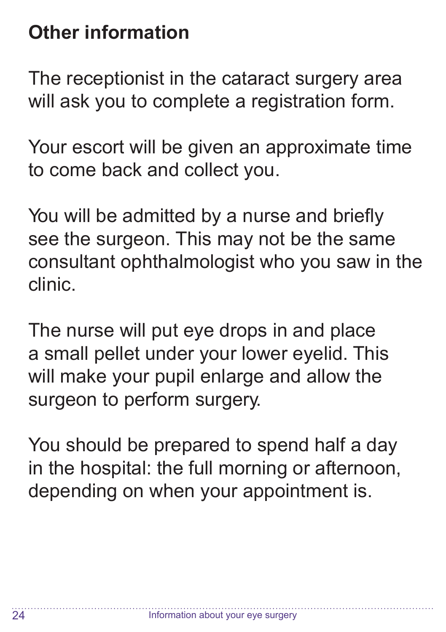#### **Other information**

The receptionist in the cataract surgery area will ask you to complete a registration form.

Your escort will be given an approximate time to come back and collect you.

You will be admitted by a nurse and briefly see the surgeon. This may not be the same consultant ophthalmologist who you saw in the clinic.

The nurse will put eye drops in and place a small pellet under your lower eyelid. This will make your pupil enlarge and allow the surgeon to perform surgery.

You should be prepared to spend half a day in the hospital: the full morning or afternoon, depending on when your appointment is.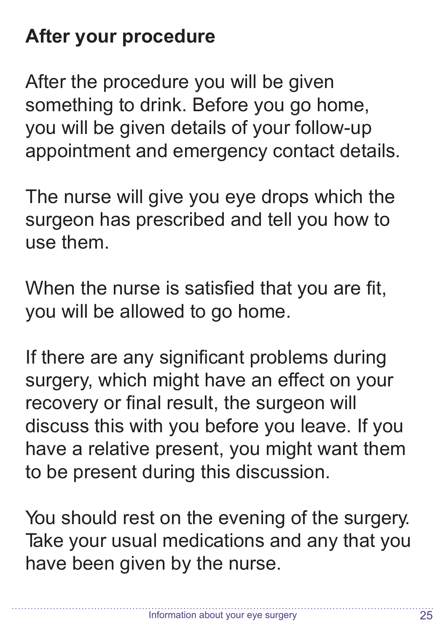#### **After your procedure**

After the procedure you will be given something to drink. Before you go home, you will be given details of your follow-up appointment and emergency contact details.

The nurse will give you eye drops which the surgeon has prescribed and tell you how to use them.

When the nurse is satisfied that you are fit, you will be allowed to go home.

If there are any significant problems during surgery, which might have an effect on your recovery or final result, the surgeon will discuss this with you before you leave. If you have a relative present, you might want them to be present during this discussion.

You should rest on the evening of the surgery. Take your usual medications and any that you have been given by the nurse.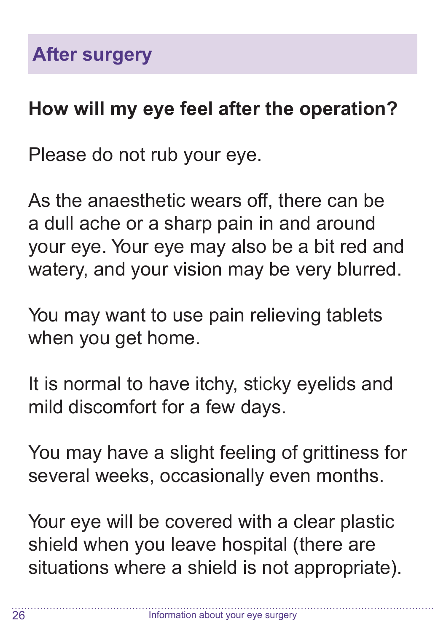#### **How will my eye feel after the operation?**

Please do not rub your eye.

As the anaesthetic wears off, there can be a dull ache or a sharp pain in and around your eye. Your eye may also be a bit red and watery, and your vision may be very blurred.

You may want to use pain relieving tablets when you get home.

It is normal to have itchy, sticky eyelids and mild discomfort for a few days.

You may have a slight feeling of grittiness for several weeks, occasionally even months.

Your eye will be covered with a clear plastic shield when you leave hospital (there are situations where a shield is not appropriate).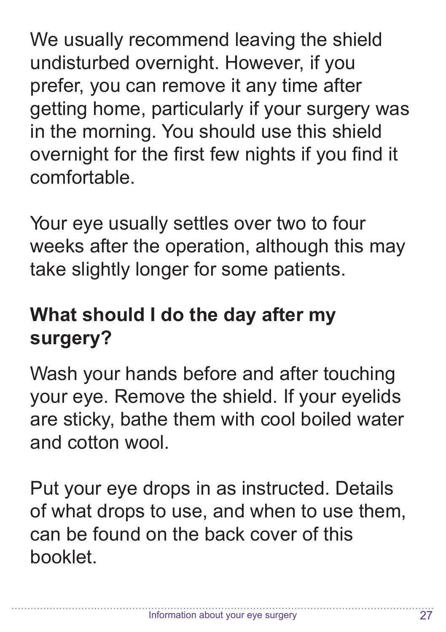We usually recommend leaving the shield undisturbed overnight. However, if you prefer, you can remove it any time after getting home, particularly if your surgery was in the morning. You should use this shield overnight for the first few nights if you find it comfortable.

Your eye usually settles over two to four weeks after the operation, although this may take slightly longer for some patients.

### **What should I do the day after my surgery?**

Wash your hands before and after touching your eye. Remove the shield. If your eyelids are sticky, bathe them with cool boiled water and cotton wool.

Put your eye drops in as instructed. Details of what drops to use, and when to use them, can be found on the back cover of this booklet.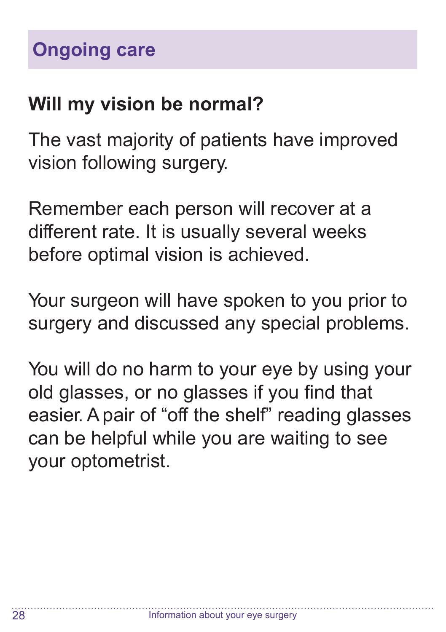#### **Will my vision be normal?**

The vast majority of patients have improved vision following surgery.

Remember each person will recover at a different rate. It is usually several weeks before optimal vision is achieved.

Your surgeon will have spoken to you prior to surgery and discussed any special problems.

You will do no harm to your eye by using your old glasses, or no glasses if you find that easier.A pair of "off the shelf" reading glasses can be helpful while you are waiting to see your optometrist.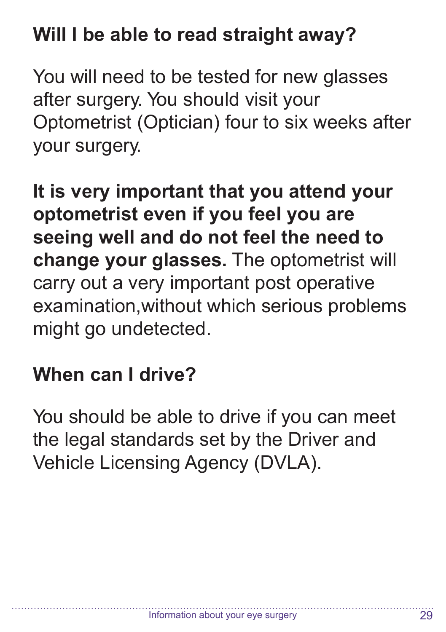#### **Will I be able to read straight away?**

You will need to be tested for new glasses after surgery. You should visit your Optometrist (Optician) four to six weeks after your surgery.

**It is very important that you attend your optometrist even if you feel you are seeing well and do not feel the need to change your glasses.** The optometrist will carry out a very important post operative examination,without which serious problems might go undetected.

#### **When can I drive?**

You should be able to drive if you can meet the legal standards set by the Driver and Vehicle Licensing Agency (DVLA).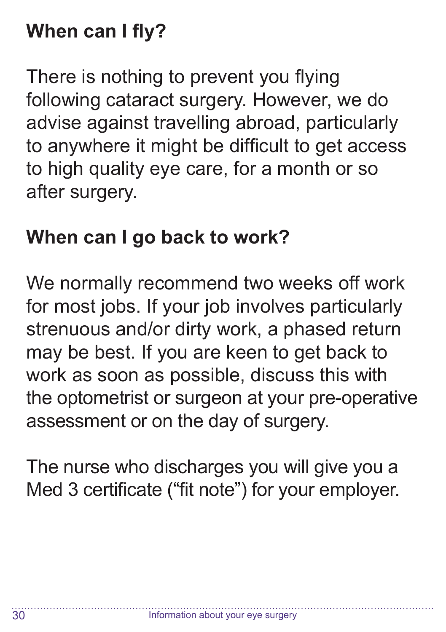#### **When can I fly?**

There is nothing to prevent you flying following cataract surgery. However, we do advise against travelling abroad, particularly to anywhere it might be difficult to get access to high quality eye care, for a month or so after surgery.

#### **When can I go back to work?**

We normally recommend two weeks off work for most jobs. If your job involves particularly strenuous and/or dirty work, a phased return may be best. If you are keen to get back to work as soon as possible, discuss this with the optometrist or surgeon at your pre-operative assessment or on the day of surgery.

The nurse who discharges you will give you a Med 3 certificate ("fit note") for your employer.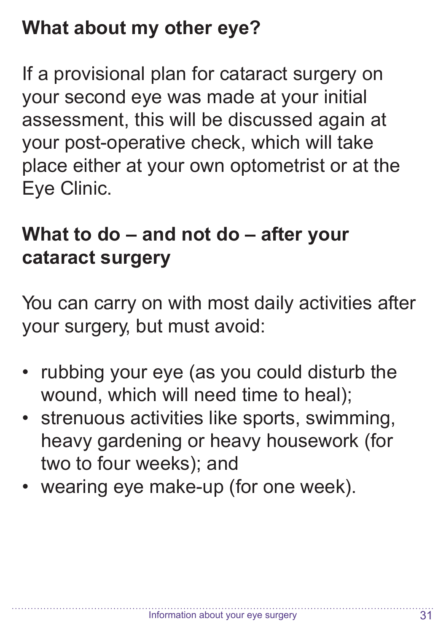#### **What about my other eye?**

If a provisional plan for cataract surgery on your second eye was made at your initial assessment, this will be discussed again at your post-operative check, which will take place either at your own optometrist or at the Eye Clinic.

#### **What to do – and not do – after your cataract surgery**

You can carry on with most daily activities after your surgery, but must avoid:

- rubbing your eye (as you could disturb the wound, which will need time to heal);
- strenuous activities like sports, swimming, heavy gardening or heavy housework (for two to four weeks); and
- wearing eye make-up (for one week).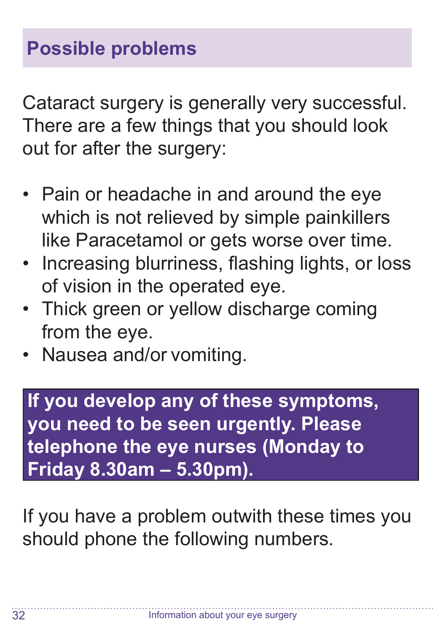Cataract surgery is generally very successful. There are a few things that you should look out for after the surgery:

- Pain or headache in and around the eye which is not relieved by simple painkillers like Paracetamol or gets worse over time.
- Increasing blurriness, flashing lights, or loss of vision in the operated eye.
- Thick green or yellow discharge coming from the eye.
- Nausea and/or vomiting.

**If you develop any of these symptoms, you need to be seen urgently. Please telephone the eye nurses (Monday to Friday 8.30am – 5.30pm).**

If you have a problem outwith these times you should phone the following numbers.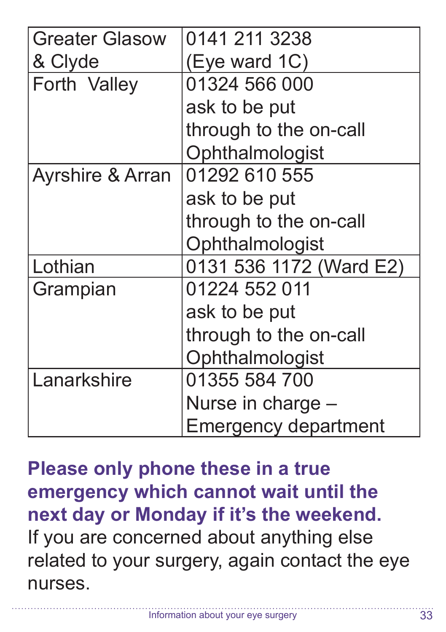| <b>Greater Glasow</b>       | 0141 211 3238               |  |  |
|-----------------------------|-----------------------------|--|--|
| & Clyde                     | (Eye ward 1C)               |  |  |
| Forth Valley                | 01324 566 000               |  |  |
|                             | ask to be put               |  |  |
|                             | through to the on-call      |  |  |
|                             | Ophthalmologist             |  |  |
| <b>Ayrshire &amp; Arran</b> | 01292 610 555               |  |  |
|                             | ask to be put               |  |  |
|                             | through to the on-call      |  |  |
|                             | Ophthalmologist             |  |  |
| Lothian                     | 0131 536 1172 (Ward E2)     |  |  |
| Grampian                    | 01224 552 011               |  |  |
|                             | ask to be put               |  |  |
|                             | through to the on-call      |  |  |
|                             | Ophthalmologist             |  |  |
| Lanarkshire                 | 01355 584 700               |  |  |
|                             | Nurse in charge -           |  |  |
|                             | <b>Emergency department</b> |  |  |

**Please only phone these in a true emergency which cannot wait until the next day or Monday if it's the weekend.** If you are concerned about anything else related to your surgery, again contact the eye nurses.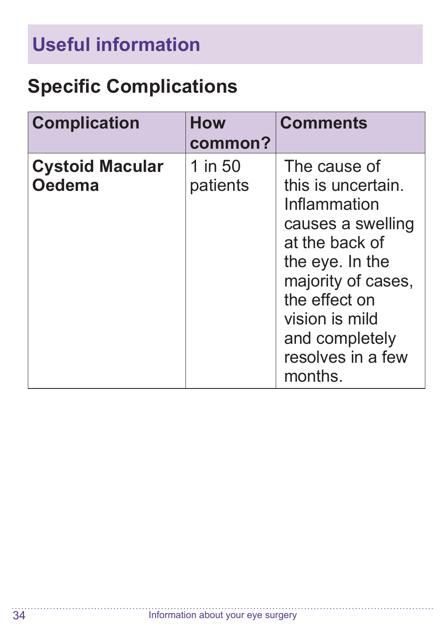# **Useful information**

#### **Specific Complications**

| <b>Complication</b>                     | <b>How</b><br>common? | <b>Comments</b>                                                                                                                                                                                                         |
|-----------------------------------------|-----------------------|-------------------------------------------------------------------------------------------------------------------------------------------------------------------------------------------------------------------------|
| <b>Cystoid Macular</b><br><b>Oedema</b> | 1 in 50<br>patients   | The cause of<br>this is uncertain.<br>Inflammation<br>causes a swelling<br>at the back of<br>the eye. In the<br>majority of cases,<br>the effect on<br>vision is mild<br>and completely<br>resolves in a few<br>months. |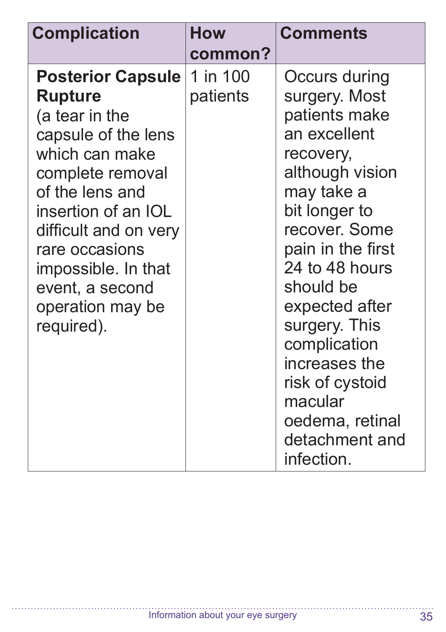| <b>Complication</b>                                                                                                                                                                                                                                                                        | <b>How</b><br>common? | <b>Comments</b>                                                                                                                                                                                                                                                                                                                                          |
|--------------------------------------------------------------------------------------------------------------------------------------------------------------------------------------------------------------------------------------------------------------------------------------------|-----------------------|----------------------------------------------------------------------------------------------------------------------------------------------------------------------------------------------------------------------------------------------------------------------------------------------------------------------------------------------------------|
| <b>Posterior Capsule</b><br><b>Rupture</b><br>(a tear in the<br>capsule of the lens<br>which can make<br>complete removal<br>of the lens and<br>insertion of an IOL<br>difficult and on very<br>rare occasions<br>impossible. In that<br>event, a second<br>operation may be<br>required). | 1 in 100<br>patients  | Occurs during<br>surgery. Most<br>patients make<br>an excellent<br>recovery,<br>although vision<br>may take a<br>bit longer to<br>recover. Some<br>pain in the first<br>24 to 48 hours<br>should be<br>expected after<br>surgery. This<br>complication<br>increases the<br>risk of cystoid<br>macular<br>oedema, retinal<br>detachment and<br>infection. |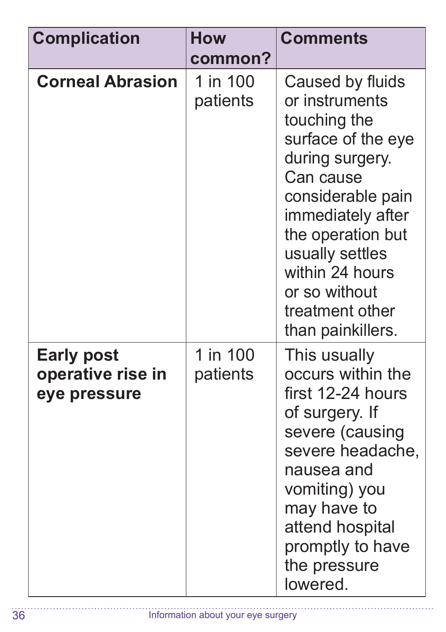| <b>Complication</b>                                    | How<br>common?       | <b>Comments</b>                                                                                                                                                                                                                                                        |
|--------------------------------------------------------|----------------------|------------------------------------------------------------------------------------------------------------------------------------------------------------------------------------------------------------------------------------------------------------------------|
| <b>Corneal Abrasion</b>                                | 1 in 100<br>patients | Caused by fluids<br>or instruments<br>touching the<br>surface of the eye<br>during surgery.<br>Can cause<br>considerable pain<br>immediately after<br>the operation but<br>usually settles<br>within 24 hours<br>or so without<br>treatment other<br>than painkillers. |
| <b>Early post</b><br>operative rise in<br>eye pressure | 1 in 100<br>patients | This usually<br>occurs within the<br>first 12-24 hours<br>of surgery. If<br>severe (causing<br>severe headache,<br>nausea and<br>vomiting) you<br>may have to<br>attend hospital<br>promptly to have<br>the pressure<br>lowered.                                       |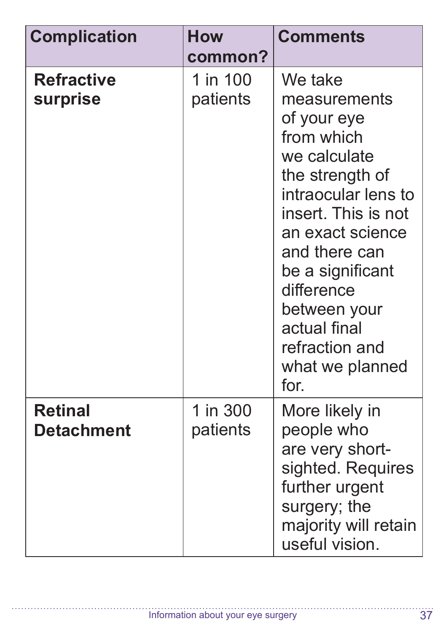| <b>Complication</b>                 | <b>How</b><br>common? | <b>Comments</b>                                                                                                                                                                                                                                                                           |
|-------------------------------------|-----------------------|-------------------------------------------------------------------------------------------------------------------------------------------------------------------------------------------------------------------------------------------------------------------------------------------|
| <b>Refractive</b><br>surprise       | 1 in 100<br>patients  | We take<br>measurements<br>of your eye<br>from which<br>we calculate<br>the strength of<br>intraocular lens to<br>insert. This is not<br>an exact science<br>and there can<br>be a significant<br>difference<br>between your<br>actual final<br>refraction and<br>what we planned<br>for. |
| <b>Retinal</b><br><b>Detachment</b> | 1 in 300<br>patients  | More likely in<br>people who<br>are very short-<br>sighted. Requires<br>further urgent<br>surgery; the<br>majority will retain<br>useful vision.                                                                                                                                          |

. . . . . . . . . . . . . . . .

a da da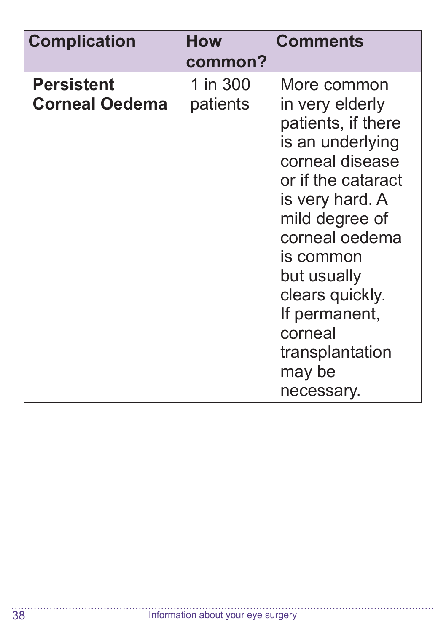| <b>Complication</b>                        | <b>How</b>           | <b>Comments</b>                                                                                                                                                                                                                                                                                |
|--------------------------------------------|----------------------|------------------------------------------------------------------------------------------------------------------------------------------------------------------------------------------------------------------------------------------------------------------------------------------------|
|                                            | common?              |                                                                                                                                                                                                                                                                                                |
| <b>Persistent</b><br><b>Corneal Oedema</b> | 1 in 300<br>patients | More common<br>in very elderly<br>patients, if there<br>is an underlying<br>corneal disease<br>or if the cataract<br>is very hard. A<br>mild degree of<br>corneal oedema<br>is common<br>but usually<br>clears quickly.<br>If permanent,<br>corneal<br>transplantation<br>may be<br>necessary. |

a a a a a a  $\overline{\phantom{a}}$ 

. . . . . . . . .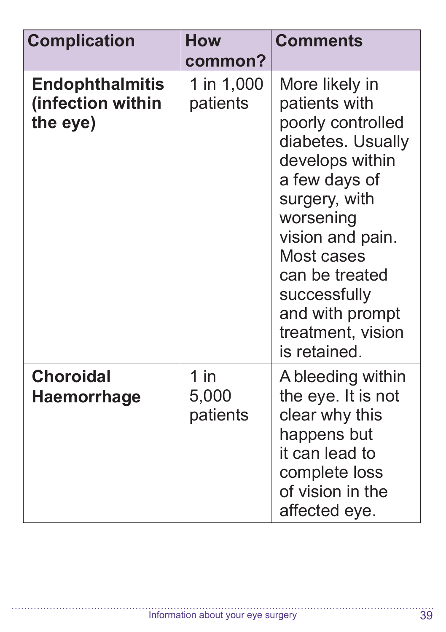| <b>Complication</b>                                     | <b>How</b><br>common?       | <b>Comments</b>                                                                                                                                                                                                                                                         |
|---------------------------------------------------------|-----------------------------|-------------------------------------------------------------------------------------------------------------------------------------------------------------------------------------------------------------------------------------------------------------------------|
| <b>Endophthalmitis</b><br>(infection within<br>the eye) | 1 in 1,000<br>patients      | More likely in<br>patients with<br>poorly controlled<br>diabetes. Usually<br>develops within<br>a few days of<br>surgery, with<br>worsening<br>vision and pain.<br>Most cases<br>can be treated<br>successfully<br>and with prompt<br>treatment, vision<br>is retained. |
| <b>Choroidal</b><br><b>Haemorrhage</b>                  | $1$ in<br>5,000<br>patients | A bleeding within<br>the eye. It is not<br>clear why this<br>happens but<br>it can lead to<br>complete loss<br>of vision in the<br>affected eye.                                                                                                                        |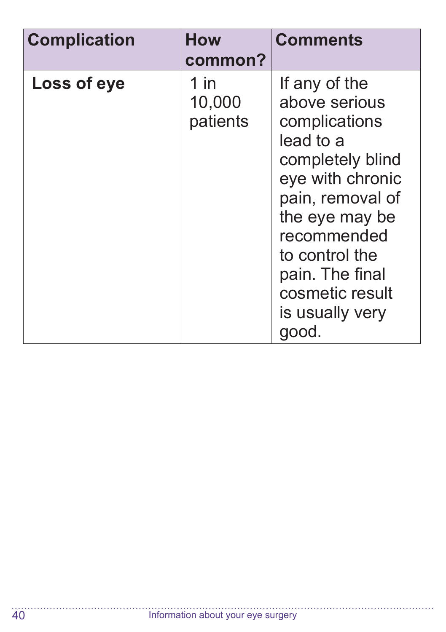| <b>Complication</b> | <b>How</b>                 | <b>Comments</b>                                                                                                                                                                                                                               |
|---------------------|----------------------------|-----------------------------------------------------------------------------------------------------------------------------------------------------------------------------------------------------------------------------------------------|
|                     | common?                    |                                                                                                                                                                                                                                               |
| Loss of eye         | 1 in<br>10,000<br>patients | If any of the<br>above serious<br>complications<br>lead to a<br>completely blind<br>eye with chronic<br>pain, removal of<br>the eye may be<br>recommended<br>to control the<br>pain. The final<br>cosmetic result<br>is usually very<br>good. |

<u>. . . . . . . .</u>  $\ddotsc$ 

. . . . . . . . . . . . . . . . . .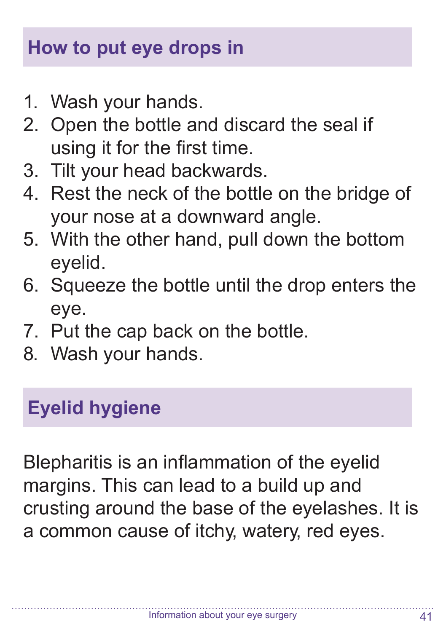#### **How to put eye drops in**

- 1. Wash your hands.
- 2. Open the bottle and discard the seal if using it for the first time.
- 3. Tilt your head backwards.
- 4. Rest the neck of the bottle on the bridge of your nose at a downward angle.
- 5. With the other hand, pull down the bottom eyelid.
- 6. Squeeze the bottle until the drop enters the eye.
- 7. Put the cap back on the bottle.
- 8. Wash your hands.

#### **Eyelid hygiene**

Blepharitis is an inflammation of the eyelid margins. This can lead to a build up and crusting around the base of the eyelashes. It is a common cause of itchy, watery, red eyes.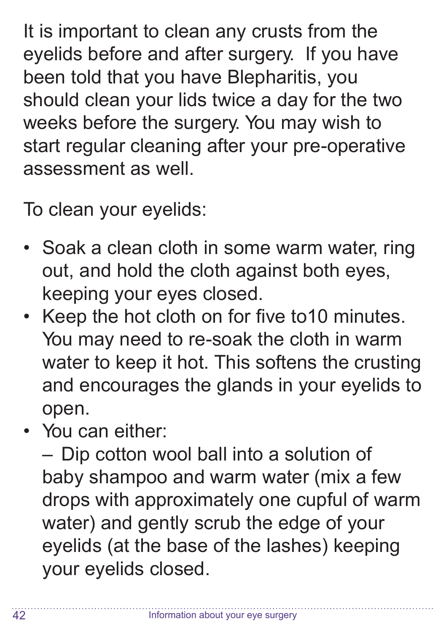It is important to clean any crusts from the eyelids before and after surgery. If you have been told that you have Blepharitis, you should clean your lids twice a day for the two weeks before the surgery. You may wish to start regular cleaning after your pre-operative assessment as well.

To clean your eyelids:

- Soak a clean cloth in some warm water, ring out, and hold the cloth against both eyes, keeping your eyes closed.
- Keep the hot cloth on for five to10 minutes. You may need to re-soak the cloth in warm water to keep it hot. This softens the crusting and encourages the glands in your eyelids to open.
- You can either:

– Dip cotton wool ball into a solution of baby shampoo and warm water (mix a few drops with approximately one cupful of warm water) and gently scrub the edge of your eyelids (at the base of the lashes) keeping your eyelids closed.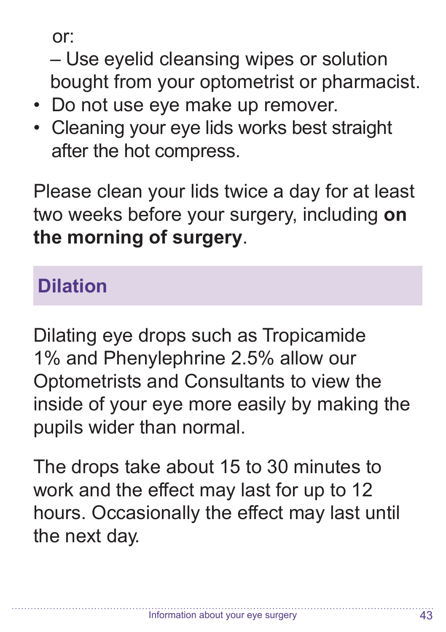or:

– Use eyelid cleansing wipes or solution bought from your optometrist or pharmacist.

- Do not use eye make up remover.
- Cleaning your eye lids works best straight after the hot compress.

Please clean your lids twice a day for at least two weeks before your surgery, including **on the morning of surgery**.

#### **Dilation**

Dilating eye drops such as Tropicamide 1% and Phenylephrine 2.5% allow our Optometrists and Consultants to view the inside of your eye more easily by making the pupils wider than normal.

The drops take about 15 to 30 minutes to work and the effect may last for up to 12 hours. Occasionally the effect may last until the next day.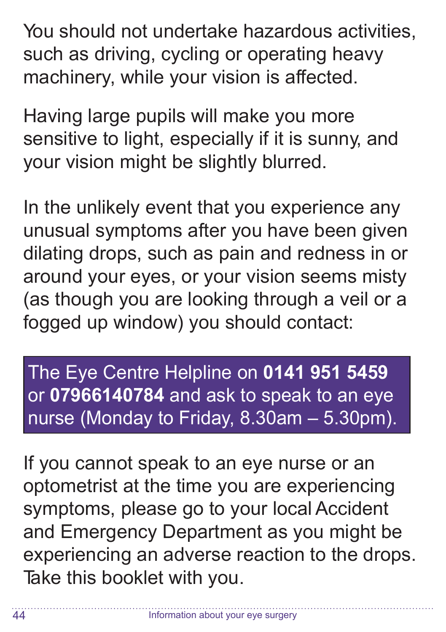You should not undertake hazardous activities, such as driving, cycling or operating heavy machinery, while your vision is affected.

Having large pupils will make you more sensitive to light, especially if it is sunny, and your vision might be slightly blurred.

In the unlikely event that you experience any unusual symptoms after you have been given dilating drops, such as pain and redness in or around your eyes, or your vision seems misty (as though you are looking through a veil or a fogged up window) you should contact:

The Eye Centre Helpline on **0141 951 5459** or **07966140784** and ask to speak to an eye nurse (Monday to Friday, 8.30am – 5.30pm).

If you cannot speak to an eye nurse or an optometrist at the time you are experiencing symptoms, please go to your local Accident and Emergency Department as you might be experiencing an adverse reaction to the drops. Take this booklet with you.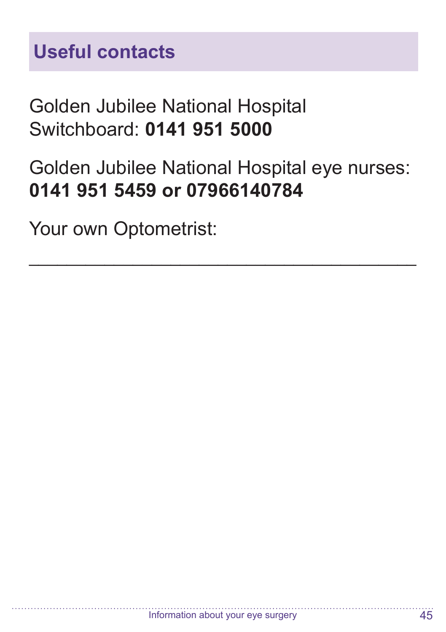#### Golden Jubilee National Hospital Switchboard: **0141 951 5000**

#### Golden Jubilee National Hospital eye nurses: **0141 951 5459 or 07966140784**

\_\_\_\_\_\_\_\_\_\_\_\_\_\_\_\_\_\_\_\_\_\_\_\_\_\_\_\_\_\_\_\_\_\_\_\_\_\_\_\_\_

Your own Optometrist: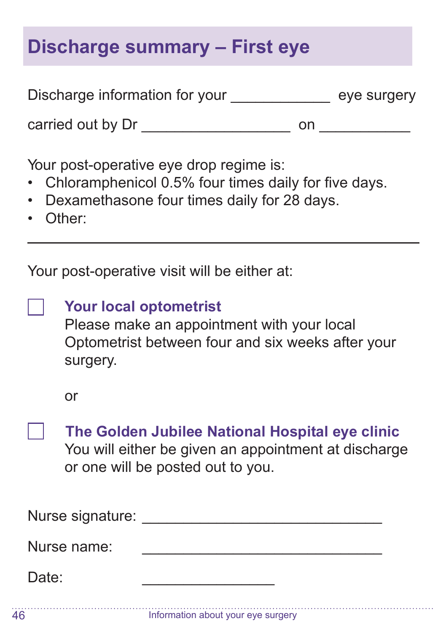#### **Discharge summary – First eye**

| Discharge information for your | eye surgery |
|--------------------------------|-------------|
| carried out by Dr              | nn          |

Your post-operative eye drop regime is:

- Chloramphenicol 0.5% four times daily for five days.
- Dexamethasone four times daily for 28 days.
- Other:

 $\overline{a}$ 

Your post-operative visit will be either at:

**Your local optometrist**  Please make an appointment with your local Optometrist between four and six weeks after your surgery.

or

**The Golden Jubilee National Hospital eye clinic** You will either be given an appointment at discharge or one will be posted out to you.

| Nurse signature: |  |
|------------------|--|
| Nurse name:      |  |
| Date:            |  |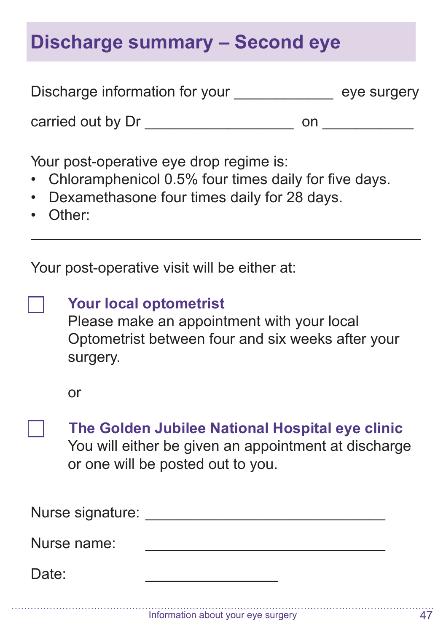#### **Discharge summary – Second eye**

| Discharge information for your | eye surgery |
|--------------------------------|-------------|
|                                |             |

Your post-operative eye drop regime is:

carried out by Dr \_\_\_\_\_\_\_\_\_\_\_\_\_\_\_\_\_\_ on \_\_\_\_\_\_\_\_\_\_\_

- Chloramphenicol 0.5% four times daily for five days.
- Dexamethasone four times daily for 28 days.
- Other:

 $\overline{a}$ 

Your post-operative visit will be either at:

|  | <b>Your local optometrist</b> |
|--|-------------------------------|
|--|-------------------------------|

Please make an appointment with your local Optometrist between four and six weeks after your surgery.

or

**The Golden Jubilee National Hospital eye clinic** You will either be given an appointment at discharge or one will be posted out to you.

| Nurse signature: |  |
|------------------|--|
| Nurse name:      |  |
| Date:            |  |